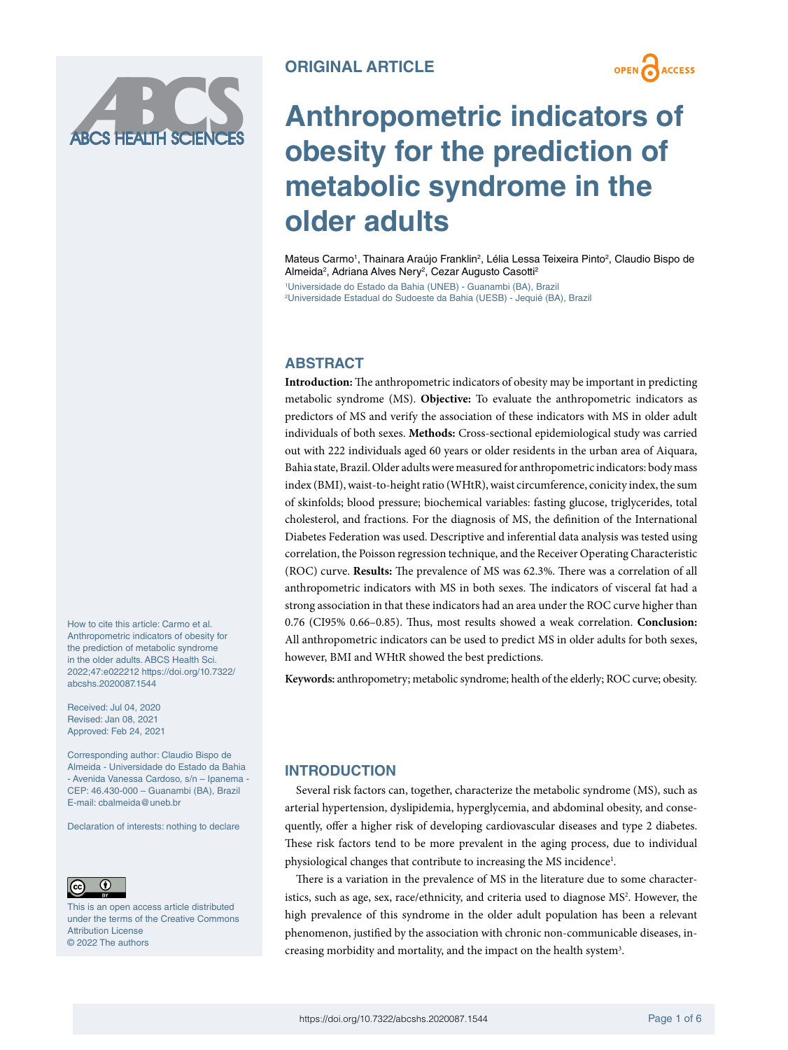

**OPEN ACCESS** 

# **Anthropometric indicators of obesity for the prediction of metabolic syndrome in the older adults**

Mateus Carmo<sup>1</sup>, Thainara Araújo Franklin<sup>2</sup>, Lélia Lessa Teixeira Pinto<sup>2</sup>, Claudio Bispo de Almeida<sup>2</sup>, Adriana Alves Nery<sup>2</sup>, Cezar Augusto Casotti<sup>2</sup>

1 Universidade do Estado da Bahia (UNEB) - Guanambi (BA), Brazil 2 Universidade Estadual do Sudoeste da Bahia (UESB) - Jequié (BA), Brazil

# **ABSTRACT**

**Introduction:** The anthropometric indicators of obesity may be important in predicting metabolic syndrome (MS). **Objective:** To evaluate the anthropometric indicators as predictors of MS and verify the association of these indicators with MS in older adult individuals of both sexes. **Methods:** Cross-sectional epidemiological study was carried out with 222 individuals aged 60 years or older residents in the urban area of Aiquara, Bahia state, Brazil. Older adults were measured for anthropometric indicators: body mass index (BMI), waist-to-height ratio (WHtR), waist circumference, conicity index, the sum of skinfolds; blood pressure; biochemical variables: fasting glucose, triglycerides, total cholesterol, and fractions. For the diagnosis of MS, the definition of the International Diabetes Federation was used. Descriptive and inferential data analysis was tested using correlation, the Poisson regression technique, and the Receiver Operating Characteristic (ROC) curve. **Results:** The prevalence of MS was 62.3%. There was a correlation of all anthropometric indicators with MS in both sexes. The indicators of visceral fat had a strong association in that these indicators had an area under the ROC curve higher than 0.76 (CI95% 0.66–0.85). Thus, most results showed a weak correlation. **Conclusion:** All anthropometric indicators can be used to predict MS in older adults for both sexes, however, BMI and WHtR showed the best predictions.

**Keywords:** anthropometry; metabolic syndrome; health of the elderly; ROC curve; obesity.

2022;47:e022212 [https://doi.org/10.7322/](https://doi.org/10.7322/abcshs.2020087.1544) [abcshs.2020087.1544](https://doi.org/10.7322/abcshs.2020087.1544) Received: Jul 04, 2020

How to cite this article: Carmo et al. Anthropometric indicators of obesity for the prediction of metabolic syndrome in the older adults. ABCS Health Sci.

Revised: Jan 08, 2021 Approved: Feb 24, 2021

Corresponding author: Claudio Bispo de Almeida - Universidade do Estado da Bahia - Avenida Vanessa Cardoso, s/n – Ipanema - CEP: 46.430-000 – Guanambi (BA), Brazil E-mail: [cbalmeida@uneb.br](mailto:cbalmeida@uneb.br)

Declaration of interests: nothing to declare



This is an open access article distributed under the terms of the Creative Commons Attribution License © 2022 The authors

# **INTRODUCTION**

Several risk factors can, together, characterize the metabolic syndrome (MS), such as arterial hypertension, dyslipidemia, hyperglycemia, and abdominal obesity, and consequently, offer a higher risk of developing cardiovascular diseases and type 2 diabetes. These risk factors tend to be more prevalent in the aging process, due to individual physiological changes that contribute to increasing the MS incidence<sup>1</sup>.

There is a variation in the prevalence of MS in the literature due to some characteristics, such as age, sex, race/ethnicity, and criteria used to diagnose MS<sup>2</sup>. However, the high prevalence of this syndrome in the older adult population has been a relevant phenomenon, justified by the association with chronic non-communicable diseases, increasing morbidity and mortality, and the impact on the health system<sup>3</sup>.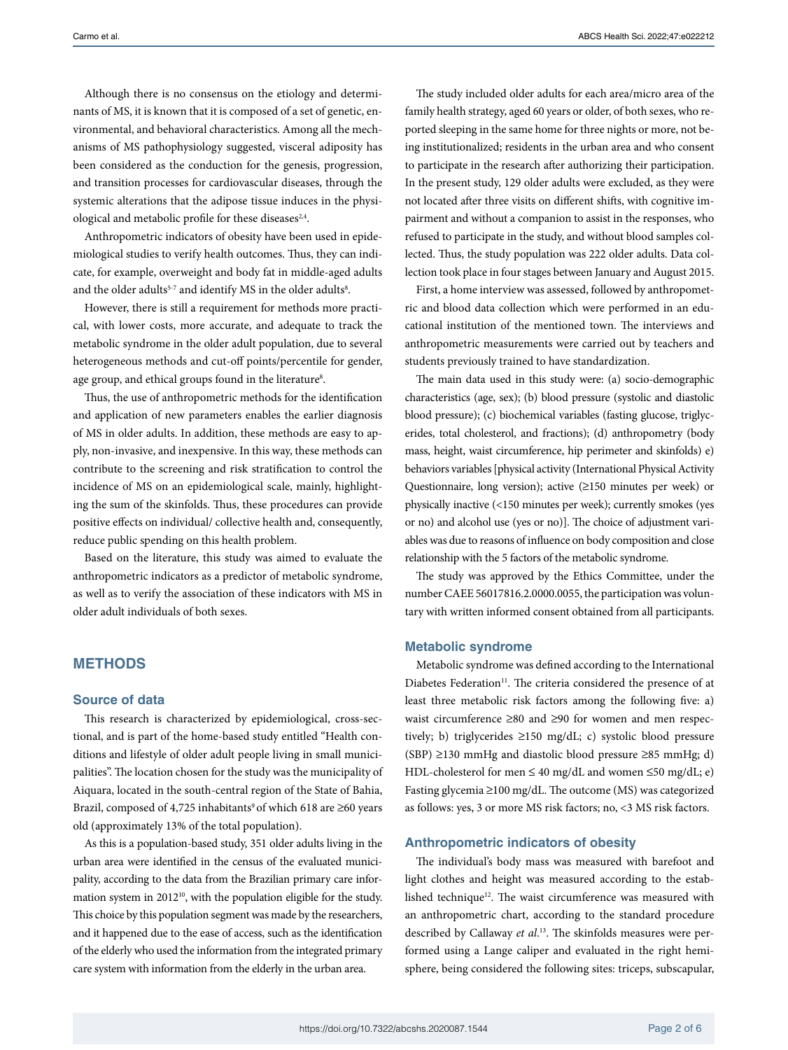Although there is no consensus on the etiology and determinants of MS, it is known that it is composed of a set of genetic, environmental, and behavioral characteristics. Among all the mechanisms of MS pathophysiology suggested, visceral adiposity has been considered as the conduction for the genesis, progression, and transition processes for cardiovascular diseases, through the systemic alterations that the adipose tissue induces in the physiological and metabolic profile for these diseases<sup>2,4</sup>.

Anthropometric indicators of obesity have been used in epidemiological studies to verify health outcomes. Thus, they can indicate, for example, overweight and body fat in middle-aged adults and the older adults $^{\mathrm{5\text{-}7}}$  and identify MS in the older adults $^{\mathrm{8}}.$ 

However, there is still a requirement for methods more practical, with lower costs, more accurate, and adequate to track the metabolic syndrome in the older adult population, due to several heterogeneous methods and cut-off points/percentile for gender, age group, and ethical groups found in the literature<sup>8</sup>.

Thus, the use of anthropometric methods for the identification and application of new parameters enables the earlier diagnosis of MS in older adults. In addition, these methods are easy to apply, non-invasive, and inexpensive. In this way, these methods can contribute to the screening and risk stratification to control the incidence of MS on an epidemiological scale, mainly, highlighting the sum of the skinfolds. Thus, these procedures can provide positive effects on individual/ collective health and, consequently, reduce public spending on this health problem.

Based on the literature, this study was aimed to evaluate the anthropometric indicators as a predictor of metabolic syndrome, as well as to verify the association of these indicators with MS in older adult individuals of both sexes.

### **METHODS**

#### **Source of data**

This research is characterized by epidemiological, cross-sectional, and is part of the home-based study entitled "Health conditions and lifestyle of older adult people living in small municipalities". The location chosen for the study was the municipality of Aiquara, located in the south-central region of the State of Bahia, Brazil, composed of 4,725 inhabitants<sup>9</sup> of which 618 are ≥60 years old (approximately 13% of the total population).

As this is a population-based study, 351 older adults living in the urban area were identified in the census of the evaluated municipality, according to the data from the Brazilian primary care information system in 2012<sup>10</sup>, with the population eligible for the study. This choice by this population segment was made by the researchers, and it happened due to the ease of access, such as the identification of the elderly who used the information from the integrated primary care system with information from the elderly in the urban area.

The study included older adults for each area/micro area of the family health strategy, aged 60 years or older, of both sexes, who reported sleeping in the same home for three nights or more, not being institutionalized; residents in the urban area and who consent to participate in the research after authorizing their participation. In the present study, 129 older adults were excluded, as they were not located after three visits on different shifts, with cognitive impairment and without a companion to assist in the responses, who refused to participate in the study, and without blood samples collected. Thus, the study population was 222 older adults. Data collection took place in four stages between January and August 2015.

First, a home interview was assessed, followed by anthropometric and blood data collection which were performed in an educational institution of the mentioned town. The interviews and anthropometric measurements were carried out by teachers and students previously trained to have standardization.

The main data used in this study were: (a) socio-demographic characteristics (age, sex); (b) blood pressure (systolic and diastolic blood pressure); (c) biochemical variables (fasting glucose, triglycerides, total cholesterol, and fractions); (d) anthropometry (body mass, height, waist circumference, hip perimeter and skinfolds) e) behaviors variables [physical activity (International Physical Activity Questionnaire, long version); active (≥150 minutes per week) or physically inactive (<150 minutes per week); currently smokes (yes or no) and alcohol use (yes or no)]. The choice of adjustment variables was due to reasons of influence on body composition and close relationship with the 5 factors of the metabolic syndrome.

The study was approved by the Ethics Committee, under the number CAEE 56017816.2.0000.0055, the participation was voluntary with written informed consent obtained from all participants.

#### **Metabolic syndrome**

Metabolic syndrome was defined according to the International Diabetes Federation<sup>11</sup>. The criteria considered the presence of at least three metabolic risk factors among the following five: a) waist circumference ≥80 and ≥90 for women and men respectively; b) triglycerides ≥150 mg/dL; c) systolic blood pressure (SBP) ≥130 mmHg and diastolic blood pressure ≥85 mmHg; d) HDL-cholesterol for men ≤ 40 mg/dL and women ≤50 mg/dL; e) Fasting glycemia ≥100 mg/dL. The outcome (MS) was categorized as follows: yes, 3 or more MS risk factors; no, <3 MS risk factors.

#### **Anthropometric indicators of obesity**

The individual's body mass was measured with barefoot and light clothes and height was measured according to the established technique<sup>12</sup>. The waist circumference was measured with an anthropometric chart, according to the standard procedure described by Callaway *et al*. 13. The skinfolds measures were performed using a Lange caliper and evaluated in the right hemisphere, being considered the following sites: triceps, subscapular,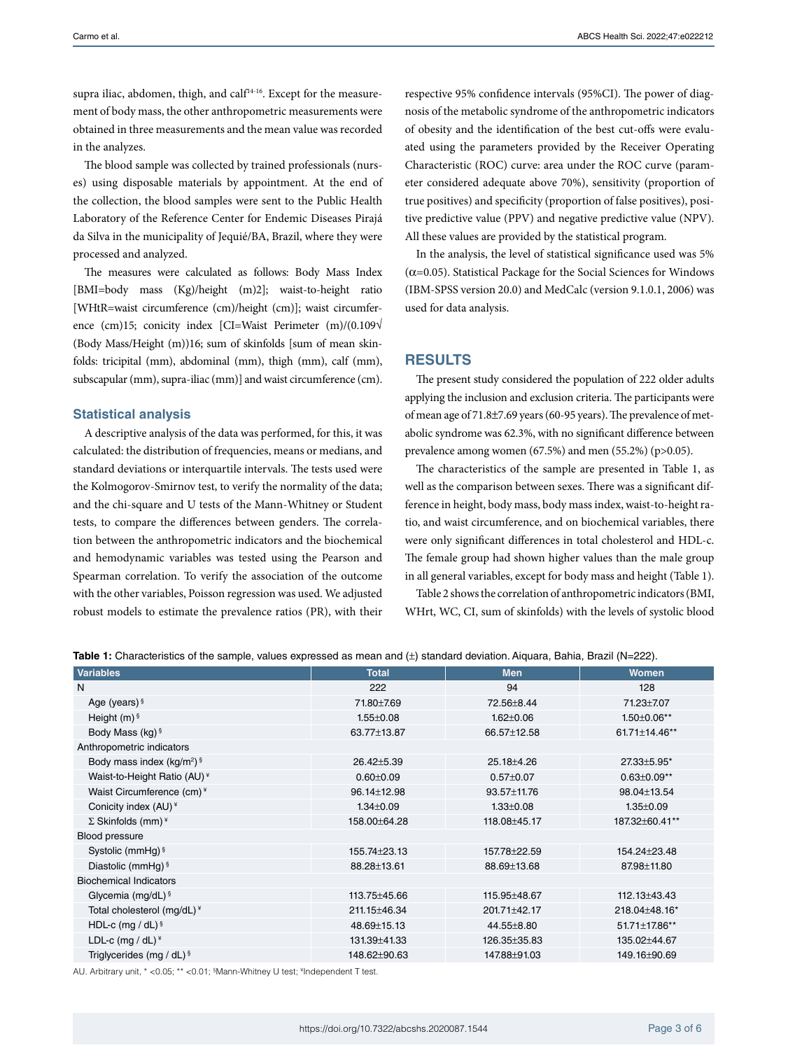supra iliac, abdomen, thigh, and calf<sup>14-16</sup>. Except for the measurement of body mass, the other anthropometric measurements were obtained in three measurements and the mean value was recorded in the analyzes.

The blood sample was collected by trained professionals (nurses) using disposable materials by appointment. At the end of the collection, the blood samples were sent to the Public Health Laboratory of the Reference Center for Endemic Diseases Pirajá da Silva in the municipality of Jequié/BA, Brazil, where they were processed and analyzed.

The measures were calculated as follows: Body Mass Index [BMI=body mass (Kg)/height (m)2]; waist-to-height ratio [WHtR=waist circumference (cm)/height (cm)]; waist circumference (cm)15; conicity index [CI=Waist Perimeter (m)/(0.109√ (Body Mass/Height (m))16; sum of skinfolds [sum of mean skinfolds: tricipital (mm), abdominal (mm), thigh (mm), calf (mm), subscapular (mm), supra-iliac (mm)] and waist circumference (cm).

#### **Statistical analysis**

A descriptive analysis of the data was performed, for this, it was calculated: the distribution of frequencies, means or medians, and standard deviations or interquartile intervals. The tests used were the Kolmogorov-Smirnov test, to verify the normality of the data; and the chi-square and U tests of the Mann-Whitney or Student tests, to compare the differences between genders. The correlation between the anthropometric indicators and the biochemical and hemodynamic variables was tested using the Pearson and Spearman correlation. To verify the association of the outcome with the other variables, Poisson regression was used. We adjusted robust models to estimate the prevalence ratios (PR), with their respective 95% confidence intervals (95%CI). The power of diagnosis of the metabolic syndrome of the anthropometric indicators of obesity and the identification of the best cut-offs were evaluated using the parameters provided by the Receiver Operating Characteristic (ROC) curve: area under the ROC curve (parameter considered adequate above 70%), sensitivity (proportion of true positives) and specificity (proportion of false positives), positive predictive value (PPV) and negative predictive value (NPV). All these values are provided by the statistical program.

In the analysis, the level of statistical significance used was 5%  $(\alpha=0.05)$ . Statistical Package for the Social Sciences for Windows (IBM-SPSS version 20.0) and MedCalc (version 9.1.0.1, 2006) was used for data analysis.

#### **RESULTS**

The present study considered the population of 222 older adults applying the inclusion and exclusion criteria. The participants were of mean age of 71.8±7.69 years (60-95 years). The prevalence of metabolic syndrome was 62.3%, with no significant difference between prevalence among women (67.5%) and men (55.2%) (p>0.05).

The characteristics of the sample are presented in Table 1, as well as the comparison between sexes. There was a significant difference in height, body mass, body mass index, waist-to-height ratio, and waist circumference, and on biochemical variables, there were only significant differences in total cholesterol and HDL-c. The female group had shown higher values than the male group in all general variables, except for body mass and height (Table 1).

Table 2 shows the correlation of anthropometric indicators (BMI, WHrt, WC, CI, sum of skinfolds) with the levels of systolic blood

| <b>Variables</b>                       | <b>Total</b>    | <b>Men</b>      | <b>Women</b>      |  |  |  |
|----------------------------------------|-----------------|-----------------|-------------------|--|--|--|
| N                                      | 222             | 94              | 128               |  |  |  |
| Age (years) $§$                        | 71.80±7.69      | 72.56±8.44      | 71.23±7.07        |  |  |  |
| Height $(m)$ <sup>§</sup>              | $1.55 \pm 0.08$ | $1.62 \pm 0.06$ | 1.50±0.06**       |  |  |  |
| Body Mass (kg) §                       | 63.77±13.87     | 66.57±12.58     | 61.71±14.46**     |  |  |  |
| Anthropometric indicators              |                 |                 |                   |  |  |  |
| Body mass index $(kg/m^2)^{6}$         | 26.42±5.39      | 25.18±4.26      | 27.33±5.95*       |  |  |  |
| Waist-to-Height Ratio (AU)*            | $0.60 + 0.09$   | $0.57 \pm 0.07$ | $0.63 \pm 0.09**$ |  |  |  |
| Waist Circumference (cm)*              | 96.14±12.98     | 93.57±11.76     | 98.04±13.54       |  |  |  |
| Conicity index (AU) <sup>*</sup>       | $1.34 \pm 0.09$ | $1.33 \pm 0.08$ | $1.35 \pm 0.09$   |  |  |  |
| $\Sigma$ Skinfolds (mm) <sup>*</sup>   | 158.00±64.28    | 118.08±45.17    | 187.32±60.41**    |  |  |  |
| Blood pressure                         |                 |                 |                   |  |  |  |
| Systolic (mmHg) $\frac{1}{3}$          | 155.74±23.13    | 157.78 ± 22.59  | 154.24±23.48      |  |  |  |
| Diastolic (mmHq) §                     | 88.28±13.61     | 88.69±13.68     | 87.98±11.80       |  |  |  |
| <b>Biochemical Indicators</b>          |                 |                 |                   |  |  |  |
| Glycemia (mg/dL) $\frac{1}{2}$         | 113.75±45.66    | 115.95±48.67    | 112.13±43.43      |  |  |  |
| Total cholesterol (mg/dL) <sup>*</sup> | 211.15±46.34    | 201.71±42.17    | 218.04±48.16*     |  |  |  |
| HDL-c (mg / dL) $\frac{1}{2}$          | 48.69±15.13     | 44.55±8.80      | 51.71±17.86**     |  |  |  |
| LDL-c (mg / $dL$ ) <sup>*</sup>        | 131.39±41.33    | 126.35±35.83    | 135.02±44.67      |  |  |  |
| Triglycerides (mg / dL) $\frac{1}{2}$  | 148.62±90.63    | 147.88±91.03    | 149.16±90.69      |  |  |  |

**Table 1:** Characteristics of the sample, values expressed as mean and (±) standard deviation. Aiquara, Bahia, Brazil (N=222).

AU. Arbitrary unit, \* <0.05; \*\* <0.01; § Mann-Whitney U test; ¥ Independent T test.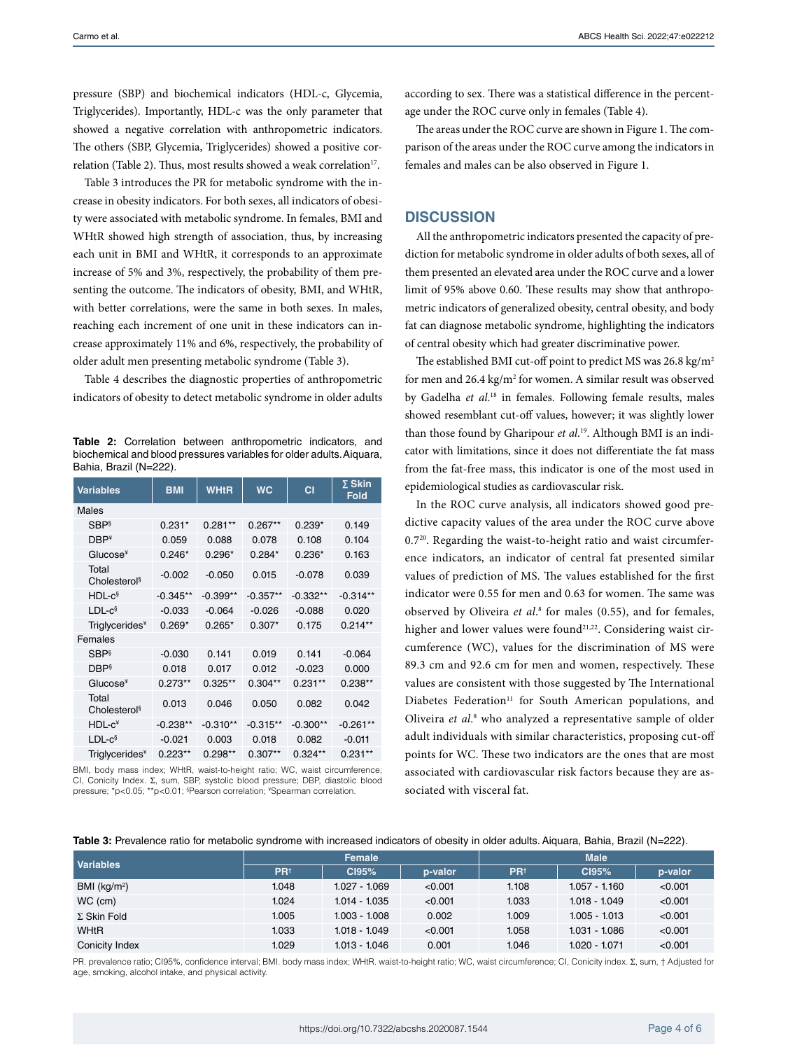pressure (SBP) and biochemical indicators (HDL-c, Glycemia, Triglycerides). Importantly, HDL-c was the only parameter that showed a negative correlation with anthropometric indicators. The others (SBP, Glycemia, Triglycerides) showed a positive correlation (Table 2). Thus, most results showed a weak correlation<sup>17</sup>.

Table 3 introduces the PR for metabolic syndrome with the increase in obesity indicators. For both sexes, all indicators of obesity were associated with metabolic syndrome. In females, BMI and WHtR showed high strength of association, thus, by increasing each unit in BMI and WHtR, it corresponds to an approximate increase of 5% and 3%, respectively, the probability of them presenting the outcome. The indicators of obesity, BMI, and WHtR, with better correlations, were the same in both sexes. In males, reaching each increment of one unit in these indicators can increase approximately 11% and 6%, respectively, the probability of older adult men presenting metabolic syndrome (Table 3).

Table 4 describes the diagnostic properties of anthropometric indicators of obesity to detect metabolic syndrome in older adults

**Table 2:** Correlation between anthropometric indicators, and biochemical and blood pressures variables for older adults. Aiquara, Bahia, Brazil (N=222).

| <b>Variables</b>                  | <b>BMI</b> | <b>WHtR</b> | <b>WC</b>  | СI         | $\Sigma$ Skin<br><b>Fold</b> |  |  |  |
|-----------------------------------|------------|-------------|------------|------------|------------------------------|--|--|--|
| Males                             |            |             |            |            |                              |  |  |  |
| <b>SBP</b> <sup>§</sup>           | $0.231*$   | $0.281**$   | $0.267**$  | $0.239*$   | 0.149                        |  |  |  |
| $DBP*$                            | 0.059      | 0.088       | 0.078      | 0.108      | 0.104                        |  |  |  |
| Glucose <sup>¥</sup>              | $0.246*$   | $0.296*$    | $0.284*$   | $0.236*$   | 0.163                        |  |  |  |
| Total<br>Cholesterol <sup>§</sup> | $-0.002$   | $-0.050$    | 0.015      | $-0.078$   | 0.039                        |  |  |  |
| $HDL-c§$                          | $-0.345**$ | $-0.399**$  | $-0.357**$ | $-0.332**$ | $-0.314**$                   |  |  |  |
| $LDL-c§$                          | $-0.033$   | $-0.064$    | $-0.026$   | $-0.088$   | 0.020                        |  |  |  |
| Triglycerides <sup>*</sup>        | $0.269*$   | $0.265*$    | $0.307*$   | 0.175      | $0.214**$                    |  |  |  |
| Females                           |            |             |            |            |                              |  |  |  |
| <b>SBP</b> <sup>§</sup>           | $-0.030$   | 0.141       | 0.019      | 0.141      | $-0.064$                     |  |  |  |
| <b>DBP</b>                        | 0.018      | 0.017       | 0.012      | $-0.023$   | 0.000                        |  |  |  |
| Glucose <sup>¥</sup>              | $0.273**$  | $0.325**$   | $0.304**$  | $0.231**$  | $0.238**$                    |  |  |  |
| Total<br>Cholesterol <sup>§</sup> | 0.013      | 0.046       | 0.050      | 0.082      | 0.042                        |  |  |  |
| $HDL-c*$                          | $-0.238**$ | $-0.310**$  | $-0.315**$ | $-0.300**$ | $-0.261**$                   |  |  |  |
| $LDL-c§$                          | $-0.021$   | 0.003       | 0.018      | 0.082      | $-0.011$                     |  |  |  |
| Triglycerides <sup>*</sup>        | $0.223**$  | $0.298**$   | $0.307**$  | $0.324**$  | $0.231**$                    |  |  |  |

BMI, body mass index; WHtR, waist-to-height ratio; WC, waist circumference; CI, Conicity Index. Σ, sum, SBP, systolic blood pressure; DBP, diastolic blood pressure; \*p<0.05; \*\*p<0.01; §Pearson correlation; <sup>¥</sup>Spearman correlation.

according to sex. There was a statistical difference in the percentage under the ROC curve only in females (Table 4).

The areas under the ROC curve are shown in Figure 1. The comparison of the areas under the ROC curve among the indicators in females and males can be also observed in Figure 1.

#### **DISCUSSION**

All the anthropometric indicators presented the capacity of prediction for metabolic syndrome in older adults of both sexes, all of them presented an elevated area under the ROC curve and a lower limit of 95% above 0.60. These results may show that anthropometric indicators of generalized obesity, central obesity, and body fat can diagnose metabolic syndrome, highlighting the indicators of central obesity which had greater discriminative power.

The established BMI cut-off point to predict MS was 26.8 kg/m<sup>2</sup> for men and 26.4 kg/m<sup>2</sup> for women. A similar result was observed by Gadelha *et al*. 18 in females. Following female results, males showed resemblant cut-off values, however; it was slightly lower than those found by Gharipour *et al*. 19. Although BMI is an indicator with limitations, since it does not differentiate the fat mass from the fat-free mass, this indicator is one of the most used in epidemiological studies as cardiovascular risk.

In the ROC curve analysis, all indicators showed good predictive capacity values of the area under the ROC curve above 0.720. Regarding the waist-to-height ratio and waist circumference indicators, an indicator of central fat presented similar values of prediction of MS. The values established for the first indicator were 0.55 for men and 0.63 for women. The same was observed by Oliveira et al.<sup>8</sup> for males (0.55), and for females, higher and lower values were found<sup>21,22</sup>. Considering waist circumference (WC), values for the discrimination of MS were 89.3 cm and 92.6 cm for men and women, respectively. These values are consistent with those suggested by The International Diabetes Federation<sup>11</sup> for South American populations, and Oliveira *et al*. 8 who analyzed a representative sample of older adult individuals with similar characteristics, proposing cut-off points for WC. These two indicators are the ones that are most associated with cardiovascular risk factors because they are associated with visceral fat.

|  | Table 3: Prevalence ratio for metabolic syndrome with increased indicators of obesity in older adults. Aiquara, Bahia, Brazil (N=222). |  |  |
|--|----------------------------------------------------------------------------------------------------------------------------------------|--|--|
|--|----------------------------------------------------------------------------------------------------------------------------------------|--|--|

| <b>Variables</b>   | Female                |                 |         | <b>Male</b>           |                 |         |
|--------------------|-----------------------|-----------------|---------|-----------------------|-----------------|---------|
|                    | <b>PR<sup>t</sup></b> | CI95%           | p-valor | <b>PR<sup>t</sup></b> | CI95%           | p-valor |
| BMI ( $kg/m2$ )    | 1.048                 | $1.027 - 1.069$ | < 0.001 | 1.108                 | $1.057 - 1.160$ | < 0.001 |
| WC (cm)            | 1.024                 | $1.014 - 1.035$ | < 0.001 | 1.033                 | $1.018 - 1.049$ | < 0.001 |
| $\Sigma$ Skin Fold | 1.005                 | $1.003 - 1.008$ | 0.002   | 1.009                 | $1.005 - 1.013$ | < 0.001 |
| WHtR               | 1.033                 | $1.018 - 1.049$ | < 0.001 | 1.058                 | 1.031 - 1.086   | < 0.001 |
| Conicity Index     | 1.029                 | $1.013 - 1.046$ | 0.001   | 1.046                 | $1.020 - 1.071$ | < 0.001 |

PR. prevalence ratio; CI95%, confidence interval; BMI. body mass index; WHtR. waist-to-height ratio; WC, waist circumference; CI, Conicity index. Σ, sum, † Adjusted for age, smoking, alcohol intake, and physical activity.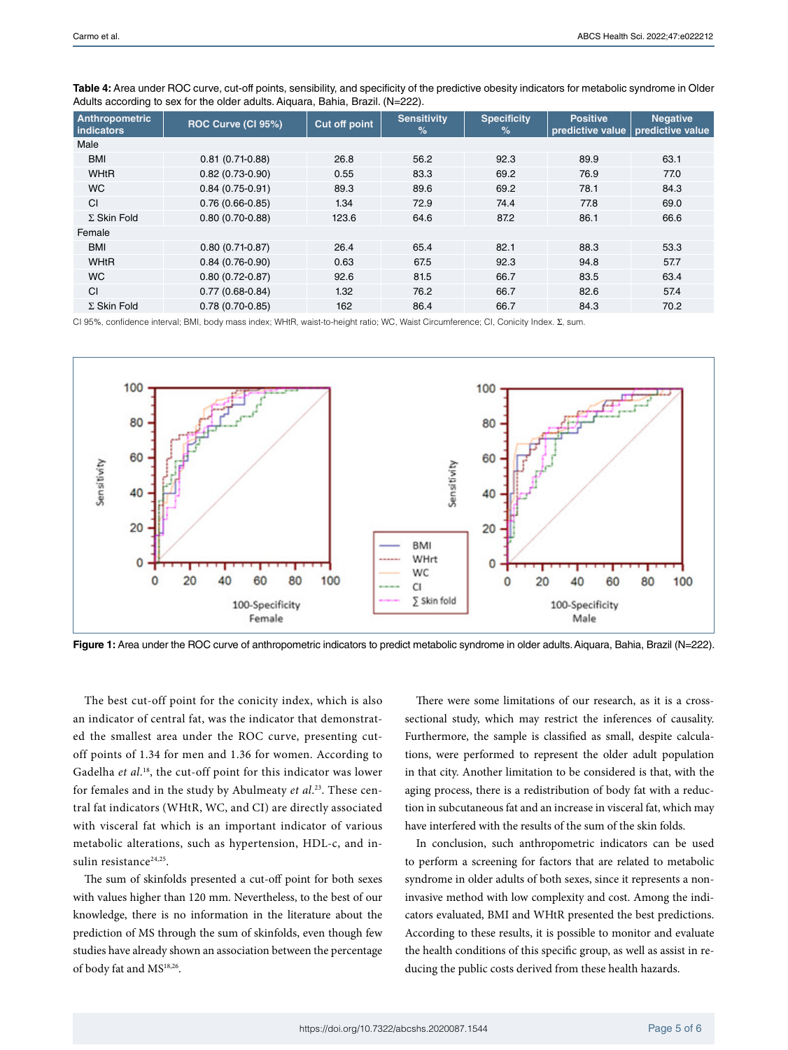| Anthropometric<br>indicators | ROC Curve (CI 95%)  | <b>Cut off point</b> | <b>Sensitivity</b><br>$\%$ | <b>Specificity</b><br>$\frac{9}{6}$ | <b>Positive</b><br>predictive value   predictive value | <b>Negative</b> |
|------------------------------|---------------------|----------------------|----------------------------|-------------------------------------|--------------------------------------------------------|-----------------|
| Male                         |                     |                      |                            |                                     |                                                        |                 |
| <b>BMI</b>                   | $0.81(0.71-0.88)$   | 26.8                 | 56.2                       | 92.3                                | 89.9                                                   | 63.1            |
| <b>WHtR</b>                  | $0.82(0.73-0.90)$   | 0.55                 | 83.3                       | 69.2                                | 76.9                                                   | 77.0            |
| <b>WC</b>                    | $0.84(0.75-0.91)$   | 89.3                 | 89.6                       | 69.2                                | 78.1                                                   | 84.3            |
| CI                           | $0.76(0.66-0.85)$   | 1.34                 | 72.9                       | 74.4                                | 77.8                                                   | 69.0            |
| $\Sigma$ Skin Fold           | $0.80(0.70-0.88)$   | 123.6                | 64.6                       | 87.2                                | 86.1                                                   | 66.6            |
| Female                       |                     |                      |                            |                                     |                                                        |                 |
| <b>BMI</b>                   | $0.80(0.71-0.87)$   | 26.4                 | 65.4                       | 82.1                                | 88.3                                                   | 53.3            |
| <b>WHtR</b>                  | $0.84(0.76-0.90)$   | 0.63                 | 67.5                       | 92.3                                | 94.8                                                   | 57.7            |
| <b>WC</b>                    | $0.80(0.72 - 0.87)$ | 92.6                 | 81.5                       | 66.7                                | 83.5                                                   | 63.4            |
| CI                           | $0.77(0.68-0.84)$   | 1.32                 | 76.2                       | 66.7                                | 82.6                                                   | 57.4            |
| $\Sigma$ Skin Fold           | $0.78(0.70-0.85)$   | 162                  | 86.4                       | 66.7                                | 84.3                                                   | 70.2            |

**Table 4:** Area under ROC curve, cut-off points, sensibility, and specificity of the predictive obesity indicators for metabolic syndrome in Older Adults according to sex for the older adults. Aiquara, Bahia, Brazil. (N=222).

CI 95%, confidence interval; BMI, body mass index; WHtR, waist-to-height ratio; WC, Waist Circumference; CI, Conicity Index. Σ, sum.



Figure 1: Area under the ROC curve of anthropometric indicators to predict metabolic syndrome in older adults. Aiquara, Bahia, Brazil (N=222).

The best cut-off point for the conicity index, which is also an indicator of central fat, was the indicator that demonstrated the smallest area under the ROC curve, presenting cutoff points of 1.34 for men and 1.36 for women. According to Gadelha et al.<sup>18</sup>, the cut-off point for this indicator was lower for females and in the study by Abulmeaty *et al*. 23. These central fat indicators (WHtR, WC, and CI) are directly associated with visceral fat which is an important indicator of various metabolic alterations, such as hypertension, HDL-c, and insulin resistance<sup>24,25</sup>.

The sum of skinfolds presented a cut-off point for both sexes with values higher than 120 mm. Nevertheless, to the best of our knowledge, there is no information in the literature about the prediction of MS through the sum of skinfolds, even though few studies have already shown an association between the percentage of body fat and MS<sup>18,26</sup>.

There were some limitations of our research, as it is a crosssectional study, which may restrict the inferences of causality. Furthermore, the sample is classified as small, despite calculations, were performed to represent the older adult population in that city. Another limitation to be considered is that, with the aging process, there is a redistribution of body fat with a reduction in subcutaneous fat and an increase in visceral fat, which may have interfered with the results of the sum of the skin folds.

In conclusion, such anthropometric indicators can be used to perform a screening for factors that are related to metabolic syndrome in older adults of both sexes, since it represents a noninvasive method with low complexity and cost. Among the indicators evaluated, BMI and WHtR presented the best predictions. According to these results, it is possible to monitor and evaluate the health conditions of this specific group, as well as assist in reducing the public costs derived from these health hazards.